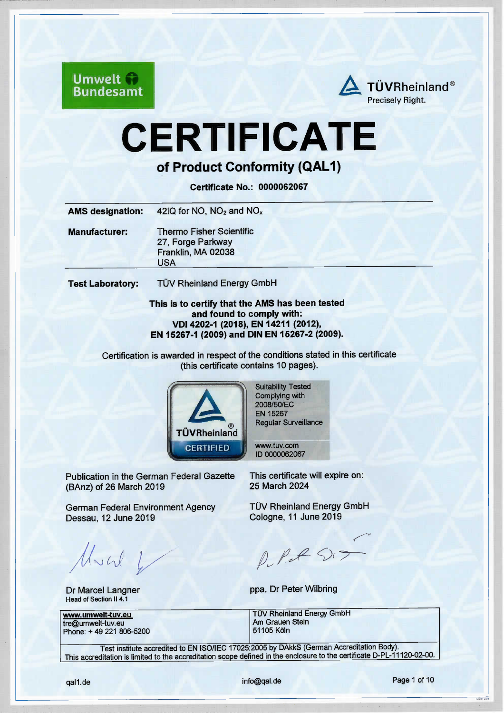

# CERTIFICATE

# of Product Conformity (QAL1)

Certificate No.: 0000062067

| <b>AMS designation:</b> | 42iQ for NO, $NO2$ and $NOx$                                                      |
|-------------------------|-----------------------------------------------------------------------------------|
| <b>Manufacturer:</b>    | <b>Thermo Fisher Scientific</b><br>27, Forge Parkway<br>Franklin, MA 02038<br>USA |
| <b>Test Laboratory:</b> | <b>TÜV Rheinland Energy GmbH</b>                                                  |

#### This is to certify that the AMS has been tested and found to comply with: VDI 4202-1 (2018), EN 14211 (2012), EN 15267-1 (2009) and DIN EN 15267-2 (2009).

Certification is awarded in respect of the conditions stated in this certfficate (this certfficate contains 10 pages).



Suitability Tested Complying with 2008/50/EC EN 15267 Regular Surveillance

www.tuv.com l D 0000062067

Publication in the German Federal Gazette (BAnz) of 26 March 2019

German Federal Environment Agency Dessau, 12 June 2019

Much L

Dr Marcel Langner Head of Section II 4.1

tre@umwelt-tuv.eu Am Grauen Am Grauen Am Grauen Am Grauen Am Steine Am Steine Am Steine Am Steine Am Steine Am<br>Am Steine Steine Am Steine Am Steine Am Steine Am Steine Am Steine Am Steine Am Steine Am Steine Am Steine Am Phone:  $+ 49 221 806 - 5200$ 

This certfficate will expire on: 25 March 2024

TÜV Rheinland Energy GmbH Cologne,11 June 2019

 $\diagup$   $\breve{~}$  $\rho$ ,  $\rho$ ,  $\rho$ 

ppa. Dr Peter Wilbring

www.umwelt-tuv.eu TÜV Rheinland Energy GmbH<br>tre@umwelt-tuv.eu Am Grauen Stein

Test institute accredited to EN ISO/IEC 17025:2005 by DAkkS (German Accreditation Body). This accreditation is limited to the accreditation scope defined in the enclosure to the certificate D-PL-11120-02-00.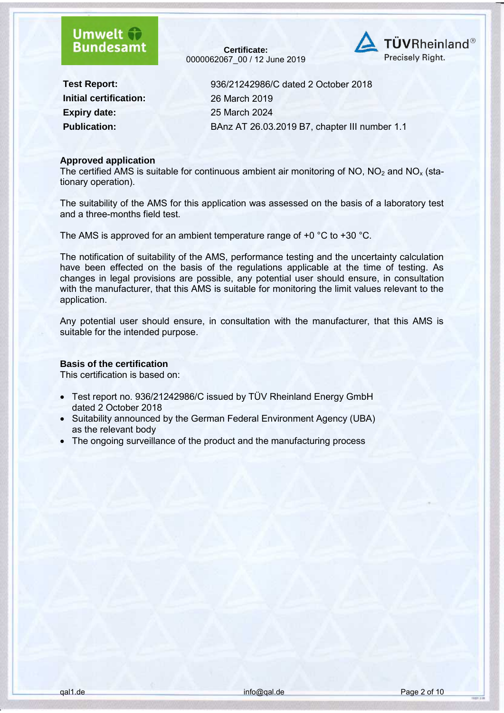**Certificate:** 0000062067\_00 / 12 June 2019



**Initial certification:** 26 March 2019 **Expiry date:** 25 March 2024

**Test Report:** 936/21242986/C dated 2 October 2018 **Publication:** BAnz AT 26.03.2019 B7, chapter III number 1.1

#### **Approved application**

The certified AMS is suitable for continuous ambient air monitoring of NO,  $NO<sub>2</sub>$  and NO<sub>x</sub> (stationary operation).

The suitability of the AMS for this application was assessed on the basis of a laboratory test and a three-months field test.

The AMS is approved for an ambient temperature range of +0 °C to +30 °C.

The notification of suitability of the AMS, performance testing and the uncertainty calculation have been effected on the basis of the regulations applicable at the time of testing. As changes in legal provisions are possible, any potential user should ensure, in consultation with the manufacturer, that this AMS is suitable for monitoring the limit values relevant to the application.

Any potential user should ensure, in consultation with the manufacturer, that this AMS is suitable for the intended purpose.

#### **Basis of the certification**

This certification is based on:

- Test report no. 936/21242986/C issued by TÜV Rheinland Energy GmbH dated 2 October 2018
- Suitability announced by the German Federal Environment Agency (UBA) as the relevant body
- The ongoing surveillance of the product and the manufacturing process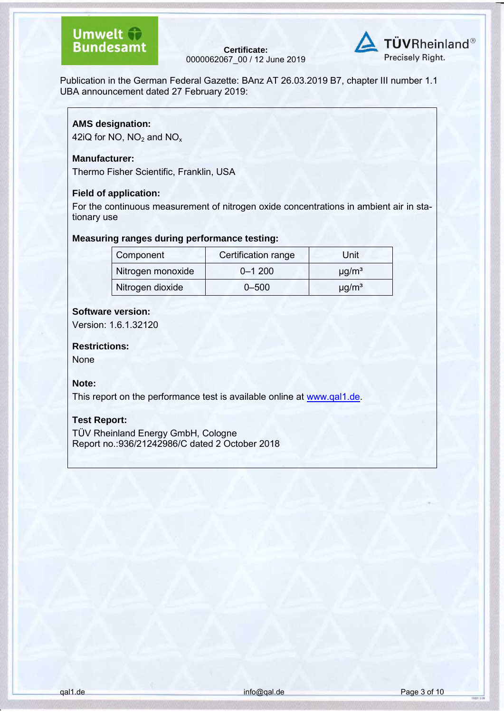**Certificate:** 0000062067\_00 / 12 June 2019



Publication in the German Federal Gazette: BAnz AT 26.03.2019 B7, chapter III number 1.1 UBA announcement dated 27 February 2019:

#### **AMS designation:**

42iQ for NO,  $NO<sub>2</sub>$  and  $NO<sub>x</sub>$ 

#### **Manufacturer:**

Thermo Fisher Scientific, Franklin, USA

#### **Field of application:**

For the continuous measurement of nitrogen oxide concentrations in ambient air in stationary use

#### **Measuring ranges during performance testing:**

| Component         | Certification range | Unit                   |
|-------------------|---------------------|------------------------|
| Nitrogen monoxide | $0 - 1200$          | $\mu$ g/m <sup>3</sup> |
| Nitrogen dioxide  | $0 - 500$           | $\mu$ g/m <sup>3</sup> |

#### **Software version:**

Version: 1.6.1.32120

#### **Restrictions:**

None

#### **Note:**

This report on the performance test is available online at [www.qal1.de.](http://www.qal1.de/)

#### **Test Report:**

TÜV Rheinland Energy GmbH, Cologne Report no.:936/21242986/C dated 2 October 2018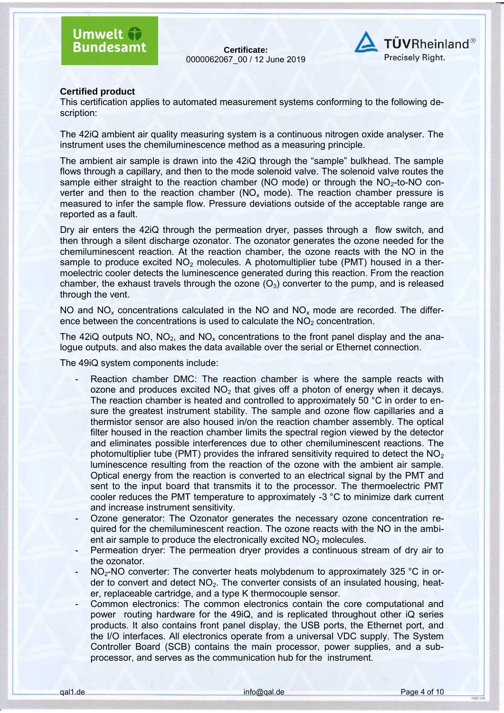**Certificate:** 0000062067\_00 / 12 June 2019



#### **Certified product**

This certification applies to automated measurement systems conforming to the following description:

The 42iQ ambient air quality measuring system is a continuous nitrogen oxide analyser. The instrument uses the chemiluminescence method as a measuring principle.

The ambient air sample is drawn into the 42iQ through the "sample" bulkhead. The sample flows through a capillary, and then to the mode solenoid valve. The solenoid valve routes the sample either straight to the reaction chamber (NO mode) or through the  $NO<sub>2</sub>$ -to-NO converter and then to the reaction chamber ( $NO<sub>x</sub>$  mode). The reaction chamber pressure is measured to infer the sample flow. Pressure deviations outside of the acceptable range are reported as a fault.

Dry air enters the 42iQ through the permeation dryer, passes through a flow switch, and then through a silent discharge ozonator. The ozonator generates the ozone needed for the chemiluminescent reaction. At the reaction chamber, the ozone reacts with the NO in the sample to produce excited  $NO<sub>2</sub>$  molecules. A photomultiplier tube (PMT) housed in a thermoelectric cooler detects the luminescence generated during this reaction. From the reaction chamber, the exhaust travels through the ozone  $(O_3)$  converter to the pump, and is released through the vent.

NO and  $NO<sub>x</sub>$  concentrations calculated in the NO and  $NO<sub>x</sub>$  mode are recorded. The difference between the concentrations is used to calculate the  $NO<sub>2</sub>$  concentration.

The 42iQ outputs NO,  $NO<sub>2</sub>$ , and  $NO<sub>x</sub>$  concentrations to the front panel display and the analogue outputs. and also makes the data available over the serial or Ethernet connection.

The 49iQ system components include:

- Reaction chamber DMC: The reaction chamber is where the sample reacts with ozone and produces excited  $NO<sub>2</sub>$  that gives off a photon of energy when it decays. The reaction chamber is heated and controlled to approximately 50 °C in order to ensure the greatest instrument stability. The sample and ozone flow capillaries and a thermistor sensor are also housed in/on the reaction chamber assembly. The optical filter housed in the reaction chamber limits the spectral region viewed by the detector and eliminates possible interferences due to other chemiluminescent reactions. The photomultiplier tube (PMT) provides the infrared sensitivity required to detect the  $NO<sub>2</sub>$ luminescence resulting from the reaction of the ozone with the ambient air sample. Optical energy from the reaction is converted to an electrical signal by the PMT and sent to the input board that transmits it to the processor. The thermoelectric PMT cooler reduces the PMT temperature to approximately -3 °C to minimize dark current and increase instrument sensitivity.
- Ozone generator: The Ozonator generates the necessary ozone concentration required for the chemiluminescent reaction. The ozone reacts with the NO in the ambient air sample to produce the electronically excited  $NO<sub>2</sub>$  molecules.
- Permeation dryer: The permeation dryer provides a continuous stream of dry air to the ozonator.
- NO<sub>2</sub>-NO converter: The converter heats molybdenum to approximately 325 °C in order to convert and detect  $NO<sub>2</sub>$ . The converter consists of an insulated housing, heater, replaceable cartridge, and a type K thermocouple sensor.
- Common electronics: The common electronics contain the core computational and power routing hardware for the 49iQ, and is replicated throughout other iQ series products. It also contains front panel display, the USB ports, the Ethernet port, and the I/O interfaces. All electronics operate from a universal VDC supply. The System Controller Board (SCB) contains the main processor, power supplies, and a subprocessor, and serves as the communication hub for the instrument.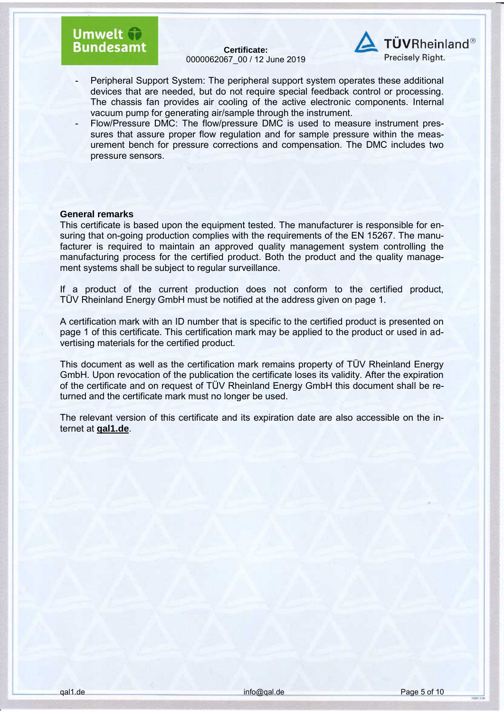**Certificate:** 0000062067\_00 / 12 June 2019



- Peripheral Support System: The peripheral support system operates these additional devices that are needed, but do not require special feedback control or processing. The chassis fan provides air cooling of the active electronic components. Internal vacuum pump for generating air/sample through the instrument.
- Flow/Pressure DMC: The flow/pressure DMC is used to measure instrument pressures that assure proper flow regulation and for sample pressure within the measurement bench for pressure corrections and compensation. The DMC includes two pressure sensors.

#### **General remarks**

This certificate is based upon the equipment tested. The manufacturer is responsible for ensuring that on-going production complies with the requirements of the EN 15267. The manufacturer is required to maintain an approved quality management system controlling the manufacturing process for the certified product. Both the product and the quality management systems shall be subject to regular surveillance.

If a product of the current production does not conform to the certified product, TÜV Rheinland Energy GmbH must be notified at the address given on page 1.

A certification mark with an ID number that is specific to the certified product is presented on page 1 of this certificate. This certification mark may be applied to the product or used in advertising materials for the certified product.

This document as well as the certification mark remains property of TÜV Rheinland Energy GmbH. Upon revocation of the publication the certificate loses its validity. After the expiration of the certificate and on request of TÜV Rheinland Energy GmbH this document shall be returned and the certificate mark must no longer be used.

The relevant version of this certificate and its expiration date are also accessible on the internet at **qal1.de**.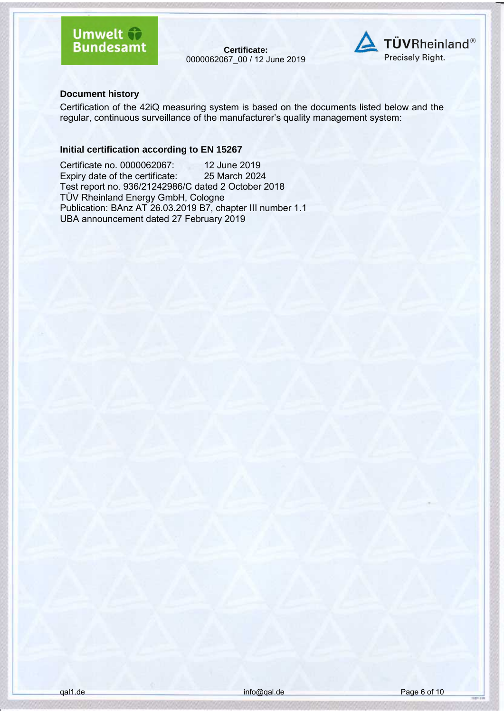**Certificate:** 0000062067\_00 / 12 June 2019



#### **Document history**

Certification of the 42iQ measuring system is based on the documents listed below and the regular, continuous surveillance of the manufacturer's quality management system:

#### **Initial certification according to EN 15267**

Certificate no. 0000062067: 12 June 2019<br>Expiry date of the certificate: 25 March 2024 Expiry date of the certificate: Test report no. 936/21242986/C dated 2 October 2018 TÜV Rheinland Energy GmbH, Cologne Publication: BAnz AT 26.03.2019 B7, chapter III number 1.1 UBA announcement dated 27 February 2019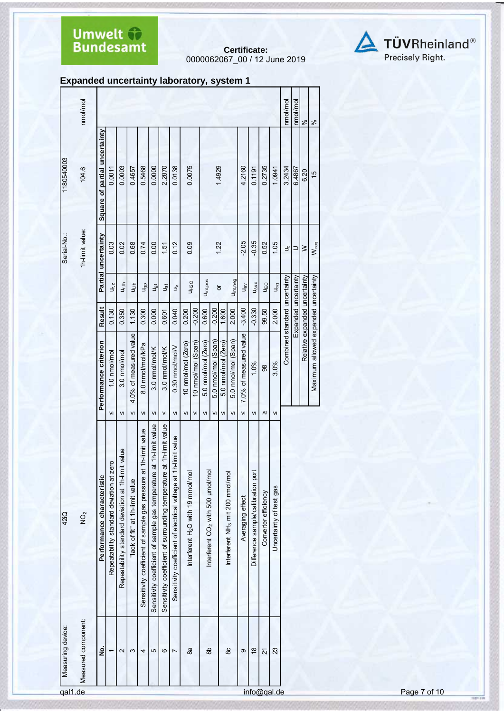# **Umwelt +**<br>Bundesamt

**Certificate:** 0000062067\_00 / 12 June 2019



#### **Expanded uncertainty laboratory, system 1**

|                              | nmol/mol             |                               |                                          |                                                       |                                |                                                                      |                                                                        |                                                                         |                                                                     |                                               |                    |                                               |                     |                     |                                              |                        |                                    |                      |                         | nmol/mol                      | nmol/mol             | $\frac{56}{20}$               | $\frac{8}{6}$                        |
|------------------------------|----------------------|-------------------------------|------------------------------------------|-------------------------------------------------------|--------------------------------|----------------------------------------------------------------------|------------------------------------------------------------------------|-------------------------------------------------------------------------|---------------------------------------------------------------------|-----------------------------------------------|--------------------|-----------------------------------------------|---------------------|---------------------|----------------------------------------------|------------------------|------------------------------------|----------------------|-------------------------|-------------------------------|----------------------|-------------------------------|--------------------------------------|
| 1180540003                   | 104.6                | Square of partial uncertainty | 0.0011                                   | 0.0003                                                | 0.4657                         | 0.5468                                                               | 0.0000                                                                 | 2.2870                                                                  | 0.0138                                                              | 0.0075                                        |                    |                                               | 1.4929              |                     |                                              | 4.2160                 | 0.1191                             | 0.2735               | 1.0941                  | 3.2434                        | 6.4867               | 6.20                          | $\frac{15}{2}$                       |
| Serial-No.:                  | 1h-limit value:      | Partial uncertainty           | 0.03                                     | 0.02                                                  | 0.68                           | 0.74                                                                 | 0.00                                                                   | 1.51                                                                    | 0.12                                                                | 0.09                                          |                    |                                               | 1.22                |                     |                                              | $-2.05$                | $-0.35$                            | 0.52                 | 1.05                    | ى                             | ⊃                    | $\geq$                        | Wreq                                 |
|                              |                      |                               | $U_{r,z}$                                | u <sub>r, ih</sub>                                    | $\frac{1}{2}$                  | Jgp                                                                  | لمال<br>تا                                                             | Jșt                                                                     | $\geq$                                                              |                                               | U <sub>H2O</sub>   | Uint, pos                                     |                     | ŏ                   | Uint, neg                                    | $U_{\text{av}}$        | $U_{\Delta SC}$                    | ЦEC                  | $U_{cg}$                |                               |                      |                               |                                      |
|                              |                      | Result                        | 0.130                                    | 0.350                                                 | 1.130                          | 0.300                                                                | 0.000                                                                  | 0.601                                                                   | 0.040                                                               | 0.200                                         | $-0.200$           | 0.600                                         | $-0.200$            | 1.600               | 2.000                                        | $-3.400$               | $-0.330$                           | 99.50                | 2.000                   |                               | Expanded uncertainty | Relative expanded uncertainty |                                      |
|                              |                      | Performance criterion         | 1.0 nmol/mol                             | 3.0 nmol/mol                                          | 4.0% of measured value         | 8.0 nmol/mol/kPa                                                     | 3.0 nmol/mol/K                                                         | 3.0 nmol/mol/K                                                          | 0.30 nmol/mol/V                                                     | 10 nmol/mol (Zero)                            | 10 nmol/mol (Span) | 5.0 nmol/mol (Zero)                           | 5.0 nmol/mol (Span) | 5.0 nmol/mol (Zero) | 5.0 nmol/mol (Span)                          | 7.0% of measured value | 1.0%                               | 88                   | 3.0%                    | Combined standard uncertainty |                      |                               | Maximum allowed expanded uncertainty |
|                              |                      |                               | VI                                       | VI                                                    | VI                             | VI                                                                   | VI                                                                     | VI                                                                      | VI                                                                  | VI                                            | VI                 | VI                                            | VI                  | VI                  | VI                                           | VI                     | VI                                 | V                    | VI                      |                               |                      |                               |                                      |
| 42iQ                         | $\overrightarrow{O}$ | Performance characteristic    | Repeatability standard deviation at zero | value<br>Repeatability standard deviation at 1h-limit | lack of fit" at 1h-limit value | h-limit value<br>Sensitivity coefficient of sample gas pressure at 1 | 1h-limit value<br>Sensitivity coefficient of sample gas temperature at | 1h-limit value<br>Sensitivity coefficient of surrounding temperature at | limit value<br>Sensitivity coefficient of electrical voltage at 1h- | Interferent H <sub>2</sub> O with 19 mmol/mol |                    | Interferent CO <sub>2</sub> with 500 µmol/mol |                     |                     | Interferent NH <sub>3</sub> mit 200 nmol/mol | Averaging effect       | Difference sample/calibration port | Converter efficiency | Uncertainty of test gas |                               |                      |                               |                                      |
| Measuring device:<br>gal1.de | Measured component:  | $\dot{\mathbf{z}}$            |                                          | 2                                                     | S                              | 4                                                                    | 5                                                                      | ဖ                                                                       | $\overline{ }$                                                      | 88                                            |                    | as                                            |                     |                     | 80                                           | တ                      | $\frac{8}{1}$                      | 21<br>info@gal.de    | 23                      |                               |                      |                               |                                      |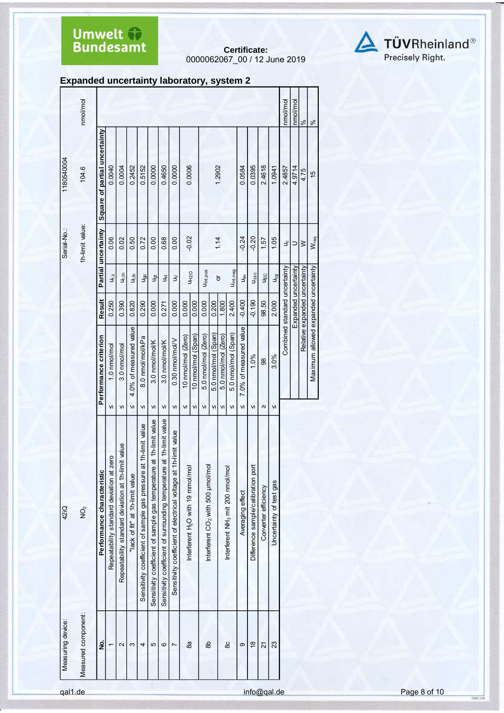# **Umwelt +**<br>Bundesamt

**Certificate:** 0000062067\_00 / 12 June 2019



**Expanded uncertainty laboratory, system 2**

|                   | nmol/mol            |                               |                                          |                                                    |                                        |                                                                  |                                                                     |                                                                      |                                                                     |                                               |                          |                                               |                           |                           |                                              |                              |                                    |                      |                         | nmol/mol                      | nmol/mol             | $\aleph$                      | ಸಿ                                   |
|-------------------|---------------------|-------------------------------|------------------------------------------|----------------------------------------------------|----------------------------------------|------------------------------------------------------------------|---------------------------------------------------------------------|----------------------------------------------------------------------|---------------------------------------------------------------------|-----------------------------------------------|--------------------------|-----------------------------------------------|---------------------------|---------------------------|----------------------------------------------|------------------------------|------------------------------------|----------------------|-------------------------|-------------------------------|----------------------|-------------------------------|--------------------------------------|
| 1180540004        | 104.6               | Square of partial uncertainty | 0.0040                                   | 0.0004                                             | 0.2452                                 | 0.5152                                                           | 0.0000                                                              | 0.4650                                                               | 0.0000                                                              | 0.0006                                        |                          |                                               |                           | 1.2902                    |                                              | 0.0584                       | 0.0395                             | 2.4618               | 1.0941                  | 2.4857                        | 4.9714               | 4.75                          | $\frac{15}{2}$                       |
| Serial-No.:       | 1h-limit value:     | Partial uncertainty           | 0.06                                     | 0.02                                               | 0.50                                   | 0.72                                                             | 0.00                                                                | 0.68                                                                 | 0.00                                                                | $-0.02$                                       |                          |                                               |                           | 1.14                      |                                              | $-0.24$                      | $-0.20$                            | 1.57                 | 1.05                    | ى                             | $\supset$            | $\geq$                        | W <sub>req</sub>                     |
|                   |                     |                               | $U_{r,z}$                                | $u_{\rm rh}$                                       | u,⊪                                    | J <sub>gp</sub>                                                  | J <sub>ğt</sub>                                                     | Jșt                                                                  | $\geq$                                                              |                                               | <b>UH20</b>              | U <sub>int, pos</sub>                         |                           | ð                         | U <sub>int, neg</sub>                        | $\mathbf{u}_{\mathbf{g}}$    | $U_{\Delta SC}$                    | ЦEС                  | U <sub>og</sub>         |                               |                      |                               |                                      |
|                   |                     | Result                        | 0.250                                    | 0.390                                              | 0.820                                  | 0.290                                                            | 0.000                                                               | 0.271                                                                | 0.000                                                               | 0.000                                         | 0.000                    | 0.000                                         | 0.200                     | 1.800                     | 2.400                                        | $-0.400$                     | $-0.190$                           | 98.50                | 2.000                   |                               | Expanded uncertainty | Relative expanded uncertainty |                                      |
|                   |                     | Performance criterion         | 1.0 nmol/mol<br>VI                       | 3.0 nmol/mol<br>VI                                 | 4.0% of measured value<br>$\mathsf{v}$ | 8.0 nmol/mol/kPa<br>VI                                           | 3.0 nmol/mol/K<br>VI                                                | 3.0 nmol/mol/K<br>VI                                                 | 0.30 nmol/mol/V<br>VI                                               | 10 nmol/mol (Zero)<br>VI                      | 10 nmol/mol (Span)<br>VI | 5.0 nmol/mol (Zero)<br>VI                     | 5.0 nmol/mol (Span)<br>VI | 5.0 nmol/mol (Zero)<br>VI | 5.0 nmol/mol (Span)<br>VI                    | 7.0% of measured value<br>VI | 1.0%<br>VI                         | 88<br>$\Lambda$      | 3.0%<br>VI              | Combined standard uncertainty |                      |                               | Maximum allowed expanded uncertainty |
| 42iQ              | $\dot{Q}$           | Performance characteristic    | Repeatability standard deviation at zero | Repeatability standard deviation at 1h-limit value | "lack of fit" at 1h-limit value        | Sensitivity coefficient of sample gas pressure at 1h-limit value | Sensitivity coefficient of sample gas temperature at 1h-limit value | Sensitivity coefficient of surrounding temperature at 1h-limit value | h-limit value<br>Sensitivity coefficient of electrical voltage at 1 | Interferent H <sub>2</sub> O with 19 mmol/mol |                          | Interferent CO <sub>2</sub> with 500 µmol/mol |                           |                           | Interferent NH <sub>3</sub> mit 200 nmol/mol | Averaging effect             | Difference sample/calibration port | Converter efficiency | Uncertainty of test gas |                               |                      |                               |                                      |
| Measuring device: | Measured component: | ġ                             | ᡪ                                        | 2                                                  | ς                                      | 4                                                                | 5                                                                   | ဖ                                                                    | Z                                                                   | 8a                                            |                          | $\frac{8}{2}$                                 |                           |                           | 80                                           | တ                            | $\frac{8}{3}$                      | $\overline{2}$       | 23                      |                               |                      |                               |                                      |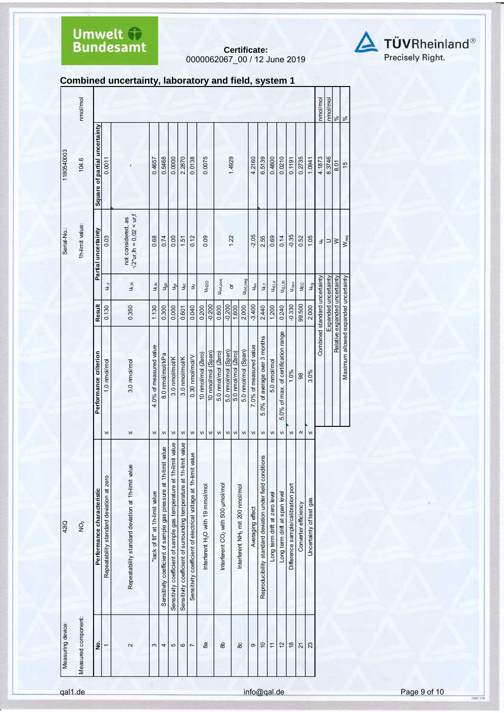**Certificate:** 0000062067\_00 / 12 June 2019



#### **Combined uncertainty, laboratory and field, system 1**

| Measuring device:   | 42iQ                                                                 |                        |                                      |                      |                                     | Serial-No.:                                              | 1180540003                    |               |
|---------------------|----------------------------------------------------------------------|------------------------|--------------------------------------|----------------------|-------------------------------------|----------------------------------------------------------|-------------------------------|---------------|
| Measured component: | $\hat{Q}$                                                            |                        |                                      |                      |                                     | 1h-limit value:                                          | 104.6                         | nmal/mol      |
| g                   | Performance characteristic                                           |                        | Performance criterion                | <b>Result</b>        |                                     | Partial uncertainty                                      | Square of partial uncertainty |               |
| $\overline{ }$      | Repeatability standard deviation at zero                             | VI                     | 1.0 nmol/mol                         | 0.130                | $U_{r, z}$                          | 0.03                                                     | 0.0011                        |               |
| 2                   | Repeatability standard deviation at 1h-limit value                   | VI                     | 3.0 nmol/mol                         | 0.350                | U <sub>r, Ih</sub>                  | $\sqrt{2^*}$ ur, lh = 0,02 < ur, f<br>not considered, as |                               |               |
| S                   | "lack of fit" at 1h-limit value                                      | VI                     | 4.0% of measured value               | 1.130                | $\frac{1}{2}$                       | 0.68                                                     | 0.4657                        |               |
| 4                   | Sensitivity coefficient of sample gas pressure at 1h-limit value     | VI                     | 8.0 nmol/mol/kPa                     | 0.300                | u <sub>gp</sub>                     | 0.74                                                     | 0.5468                        |               |
| 5                   | Sensitivity coefficient of sample gas temperature at 1h-limit value  | VI                     | 3.0 nmol/mol/K                       | 0.000                | Jgt                                 | 0.00                                                     | 0.0000                        |               |
| $\circ$             | Sensitivity coefficient of surrounding temperature at 1h-limit value | VI                     | 3.0 nmol/mol/K                       | 0.601                | $\mathsf{u}_\mathsf{st}$            | 1.51                                                     | 2.2870                        |               |
| $\overline{ }$      | Sensitivity coefficient of electrical voltage at 1h-limit value      | VI                     | 0.30 nmol/mol/V                      | 0.040                | $\geq$                              | 0.12                                                     | 0.0138                        |               |
| 8a                  | Interferent H <sub>2</sub> O with 19 mmol/mol                        | $\mathsf{v}$           | 10 nmol/mol (Zero)                   | 0.200                |                                     | 0.09                                                     | 0.0075                        |               |
|                     |                                                                      | ${\sf VI}$             | 10 nmol/mol (Span)                   | $-0.200$             | <b>UH2O</b>                         |                                                          |                               |               |
| æ                   | Interferent CO <sub>2</sub> with 500 µmol/mol                        | VI                     | 5.0 nmol/mol (Zero)                  | 0.600                | Uint, pos                           |                                                          |                               |               |
|                     |                                                                      | VI                     | 5.0 nmol/mol (Span)                  | $-0.200$             |                                     | 1.22                                                     |                               |               |
|                     |                                                                      | VI                     | 5.0 nmol/mol (Zero)                  | 1.600                | $\overline{a}$                      |                                                          | 1.4929                        |               |
| 8C                  | Interferent NH <sub>3</sub> mit 200 nmol/mol                         | VI                     | 5.0 nmol/mol (Span)                  | 2.000                | U <sub>int, neg</sub>               |                                                          |                               |               |
| ၜ                   | Averaging effect                                                     | VI                     | 7.0% of measured value               | $-3.400$             | $u_{\rm B}$                         | $-2.05$                                                  | 4.2160                        |               |
| $\overline{c}$      | Reproducibility standard deviation under field conditions            | VI                     | 5.0% of average over 3 months        | 2.440                | $\mathsf{u}_{\mathrm{r}\mathrm{f}}$ | 2.55                                                     | 6.5139                        |               |
| $\overline{a}$      | Long term drift at zero level                                        | $\mathsf{v}$           | 5.0 nmol/mol                         | 1.200                | $U_{d, l, z}$                       | 0.69                                                     | 0.4800                        |               |
| 12                  | Long term drift at span level                                        | VI                     | 5.0% of max. of certification range  | 0.240                | $U_{d,l,h}$                         | 0.14                                                     | 0.0210                        |               |
| $\frac{8}{2}$       | Difference sample/calibration port                                   | VI                     | 1.0%                                 | $-0.330$             | $U_{\Delta SC}$                     | $-0.35$                                                  | 0.1191                        |               |
| 21                  | Converter efficiency                                                 | $\boldsymbol{\Lambda}$ | 98                                   | 99.500               | UĘC                                 | 0.52                                                     | 0.2735                        |               |
| 23                  | Uncertainty of test gas                                              | $\mathsf{v}$           | 3.0%                                 | 2.000                | $U_{cg}$                            | 1.05                                                     | 1.0941                        |               |
|                     |                                                                      |                        | Combined standard uncertainty        |                      |                                     | ٩                                                        | 4.1873                        | nma/mol       |
|                     |                                                                      |                        |                                      | Expanded uncertainty |                                     | $\Rightarrow$                                            | 8.3746                        | nmol/mol      |
|                     |                                                                      |                        | Relative expanded uncertainty        |                      |                                     | $\geq$                                                   | 8.01                          | $\%$          |
|                     |                                                                      |                        | Maximum allowed expanded uncertainty |                      |                                     | $W_{req}$                                                | $\frac{1}{2}$                 | $\frac{8}{6}$ |
|                     |                                                                      |                        |                                      |                      |                                     |                                                          |                               |               |